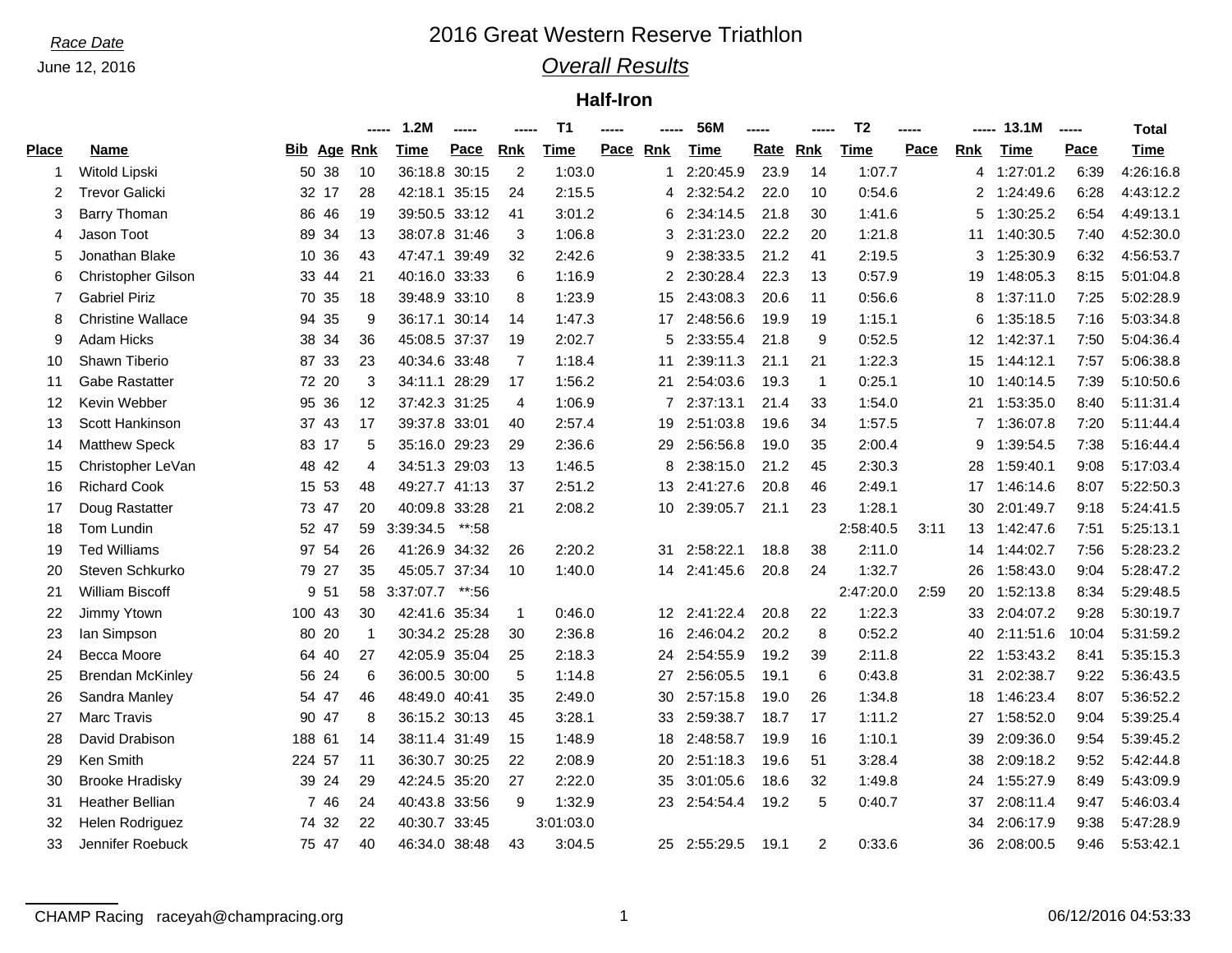# *Race Date* 2016 Great Western Reserve Triathlon

## *Overall Results*

### **Half-Iron**

|              |                          |        |                    |             | 1.2M          | ----- |                | T <sub>1</sub> | -----       | 56M          | ----- |                | T <sub>2</sub> | ----- |            | 13.1M       | ----- | Total       |
|--------------|--------------------------|--------|--------------------|-------------|---------------|-------|----------------|----------------|-------------|--------------|-------|----------------|----------------|-------|------------|-------------|-------|-------------|
| <b>Place</b> | <b>Name</b>              |        | <b>Bib Age Rnk</b> |             | Time          | Pace  | <b>Rnk</b>     | Time           | Pace<br>Rnk | Time         | Rate  | <b>Rnk</b>     | Time           | Pace  | <b>Rnk</b> | <b>Time</b> | Pace  | <b>Time</b> |
|              | Witold Lipski            |        | 50 38              | 10          | 36:18.8 30:15 |       | 2              | 1:03.0         |             | 2:20:45.9    | 23.9  | 14             | 1:07.7         |       | 4          | 1:27:01.2   | 6:39  | 4:26:16.8   |
| 2            | <b>Trevor Galicki</b>    |        | 32 17              | 28          | 42:18.1 35:15 |       | 24             | 2:15.5         | 4           | 2:32:54.2    | 22.0  | 10             | 0:54.6         |       | 2          | 1:24:49.6   | 6:28  | 4:43:12.2   |
| 3            | <b>Barry Thoman</b>      |        | 86 46              | 19          | 39:50.5 33:12 |       | 41             | 3:01.2         | 6           | 2:34:14.5    | 21.8  | 30             | 1:41.6         |       | 5          | 1:30:25.2   | 6:54  | 4:49:13.1   |
| 4            | Jason Toot               |        | 89 34              | 13          | 38:07.8 31:46 |       | 3              | 1:06.8         | 3           | 2:31:23.0    | 22.2  | 20             | 1:21.8         |       | 11         | 1:40:30.5   | 7:40  | 4:52:30.0   |
| 5            | Jonathan Blake           |        | 10 36              | 43          | 47:47.1       | 39:49 | 32             | 2:42.6         | 9           | 2:38:33.5    | 21.2  | 41             | 2:19.5         |       | 3          | 1:25:30.9   | 6:32  | 4:56:53.7   |
| 6            | Christopher Gilson       |        | 33 44              | 21          | 40:16.0 33:33 |       | 6              | 1:16.9         | 2           | 2:30:28.4    | 22.3  | 13             | 0:57.9         |       | 19         | 1:48:05.3   | 8:15  | 5:01:04.8   |
| 7            | <b>Gabriel Piriz</b>     |        | 70 35              | 18          | 39:48.9 33:10 |       | 8              | 1:23.9         | 15          | 2:43:08.3    | 20.6  | 11             | 0:56.6         |       | 8          | 1:37:11.0   | 7:25  | 5:02:28.9   |
| 8            | <b>Christine Wallace</b> |        | 94 35              | 9           | 36:17.1 30:14 |       | 14             | 1:47.3         | 17          | 2:48:56.6    | 19.9  | 19             | 1:15.1         |       | 6          | 1:35:18.5   | 7:16  | 5:03:34.8   |
| 9            | Adam Hicks               |        | 38 34              | 36          | 45:08.5 37:37 |       | 19             | 2:02.7         | 5           | 2:33:55.4    | 21.8  | 9              | 0:52.5         |       | 12         | 1:42:37.1   | 7:50  | 5:04:36.4   |
| 10           | Shawn Tiberio            |        | 87 33              | 23          | 40:34.6 33:48 |       | $\overline{7}$ | 1:18.4         | 11          | 2:39:11.3    | 21.1  | 21             | 1:22.3         |       | 15         | 1:44:12.1   | 7:57  | 5:06:38.8   |
| 11           | <b>Gabe Rastatter</b>    |        | 72 20              | 3           | 34:11.1 28:29 |       | 17             | 1:56.2         | 21          | 2:54:03.6    | 19.3  | $\mathbf{1}$   | 0:25.1         |       | 10         | 1:40:14.5   | 7:39  | 5:10:50.6   |
| 12           | Kevin Webber             |        | 95 36              | 12          | 37:42.3 31:25 |       | 4              | 1:06.9         | 7           | 2:37:13.1    | 21.4  | 33             | 1:54.0         |       | 21         | 1:53:35.0   | 8:40  | 5:11:31.4   |
| 13           | Scott Hankinson          |        | 37 43              | 17          | 39:37.8 33:01 |       | 40             | 2:57.4         | 19          | 2:51:03.8    | 19.6  | 34             | 1:57.5         |       | 7          | 1:36:07.8   | 7:20  | 5:11:44.4   |
| 14           | <b>Matthew Speck</b>     |        | 83 17              | 5           | 35:16.0 29:23 |       | 29             | 2:36.6         | 29          | 2:56:56.8    | 19.0  | 35             | 2:00.4         |       | 9          | 1:39:54.5   | 7:38  | 5:16:44.4   |
| 15           | Christopher LeVan        |        | 48 42              | 4           | 34:51.3 29:03 |       | 13             | 1:46.5         | 8           | 2:38:15.0    | 21.2  | 45             | 2:30.3         |       | 28         | 1:59:40.1   | 9:08  | 5:17:03.4   |
| 16           | <b>Richard Cook</b>      |        | 15 53              | 48          | 49:27.7 41:13 |       | 37             | 2:51.2         | 13          | 2:41:27.6    | 20.8  | 46             | 2:49.1         |       | 17         | 1:46:14.6   | 8:07  | 5:22:50.3   |
| 17           | Doug Rastatter           |        | 73 47              | 20          | 40:09.8 33:28 |       | 21             | 2:08.2         |             | 10 2:39:05.7 | 21.1  | 23             | 1:28.1         |       | 30         | 2:01:49.7   | 9:18  | 5:24:41.5   |
| 18           | Tom Lundin               |        | 52 47              | 59          | 3:39:34.5     | **:58 |                |                |             |              |       |                | 2:58:40.5      | 3:11  | 13         | 1:42:47.6   | 7:51  | 5:25:13.1   |
| 19           | <b>Ted Williams</b>      |        | 97 54              | 26          | 41:26.9 34:32 |       | 26             | 2:20.2         | 31          | 2:58:22.1    | 18.8  | 38             | 2:11.0         |       | 14         | 1:44:02.7   | 7:56  | 5:28:23.2   |
| 20           | Steven Schkurko          |        | 79 27              | 35          | 45:05.7       | 37:34 | 10             | 1:40.0         | 14          | 2:41:45.6    | 20.8  | 24             | 1:32.7         |       | 26         | 1:58:43.0   | 9:04  | 5:28:47.2   |
| 21           | <b>William Biscoff</b>   | 9      | 51                 | 58          | 3:37:07.7     | **:56 |                |                |             |              |       |                | 2:47:20.0      | 2:59  | 20         | 1:52:13.8   | 8:34  | 5:29:48.5   |
| 22           | Jimmy Ytown              | 100 43 |                    | 30          | 42:41.6       | 35:34 | -1             | 0:46.0         | 12          | 2:41:22.4    | 20.8  | 22             | 1:22.3         |       | 33         | 2:04:07.2   | 9:28  | 5:30:19.7   |
| 23           | lan Simpson              |        | 80 20              | $\mathbf 1$ | 30:34.2 25:28 |       | 30             | 2:36.8         | 16          | 2:46:04.2    | 20.2  | 8              | 0:52.2         |       | 40         | 2:11:51.6   | 10:04 | 5:31:59.2   |
| 24           | Becca Moore              |        | 64 40              | 27          | 42:05.9 35:04 |       | 25             | 2:18.3         | 24          | 2:54:55.9    | 19.2  | 39             | 2:11.8         |       | 22         | 1:53:43.2   | 8:41  | 5:35:15.3   |
| 25           | <b>Brendan McKinley</b>  |        | 56 24              | 6           | 36:00.5 30:00 |       | 5              | 1:14.8         | 27          | 2:56:05.5    | 19.1  | 6              | 0:43.8         |       | 31         | 2:02:38.7   | 9:22  | 5:36:43.5   |
| 26           | Sandra Manley            |        | 54 47              | 46          | 48:49.0 40:41 |       | 35             | 2:49.0         | 30          | 2:57:15.8    | 19.0  | 26             | 1:34.8         |       | 18         | 1:46:23.4   | 8:07  | 5:36:52.2   |
| 27           | <b>Marc Travis</b>       |        | 90 47              | 8           | 36:15.2 30:13 |       | 45             | 3:28.1         | 33          | 2:59:38.7    | 18.7  | 17             | 1:11.2         |       | 27         | 1:58:52.0   | 9:04  | 5:39:25.4   |
| 28           | David Drabison           | 188 61 |                    | 14          | 38:11.4 31:49 |       | 15             | 1:48.9         | 18          | 2:48:58.7    | 19.9  | 16             | 1:10.1         |       | 39         | 2:09:36.0   | 9:54  | 5:39:45.2   |
| 29           | Ken Smith                | 224 57 |                    | 11          | 36:30.7 30:25 |       | 22             | 2:08.9         | 20          | 2:51:18.3    | 19.6  | 51             | 3:28.4         |       | 38         | 2:09:18.2   | 9:52  | 5:42:44.8   |
| 30           | <b>Brooke Hradisky</b>   |        | 39 24              | 29          | 42:24.5 35:20 |       | 27             | 2:22.0         | 35          | 3:01:05.6    | 18.6  | 32             | 1:49.8         |       | 24         | 1:55:27.9   | 8:49  | 5:43:09.9   |
| 31           | Heather Bellian          |        | 7 46               | 24          | 40:43.8 33:56 |       | 9              | 1:32.9         | 23          | 2:54:54.4    | 19.2  | 5              | 0:40.7         |       | 37         | 2:08:11.4   | 9:47  | 5:46:03.4   |
| 32           | Helen Rodriguez          |        | 7432               | 22          | 40:30.7       | 33:45 |                | 3:01:03.0      |             |              |       |                |                |       | 34         | 2:06:17.9   | 9:38  | 5:47:28.9   |
| 33           | Jennifer Roebuck         |        | 75 47              | 40          | 46:34.0 38:48 |       | 43             | 3:04.5         |             | 25 2:55:29.5 | 19.1  | $\overline{2}$ | 0:33.6         |       | 36         | 2:08:00.5   | 9:46  | 5:53:42.1   |
|              |                          |        |                    |             |               |       |                |                |             |              |       |                |                |       |            |             |       |             |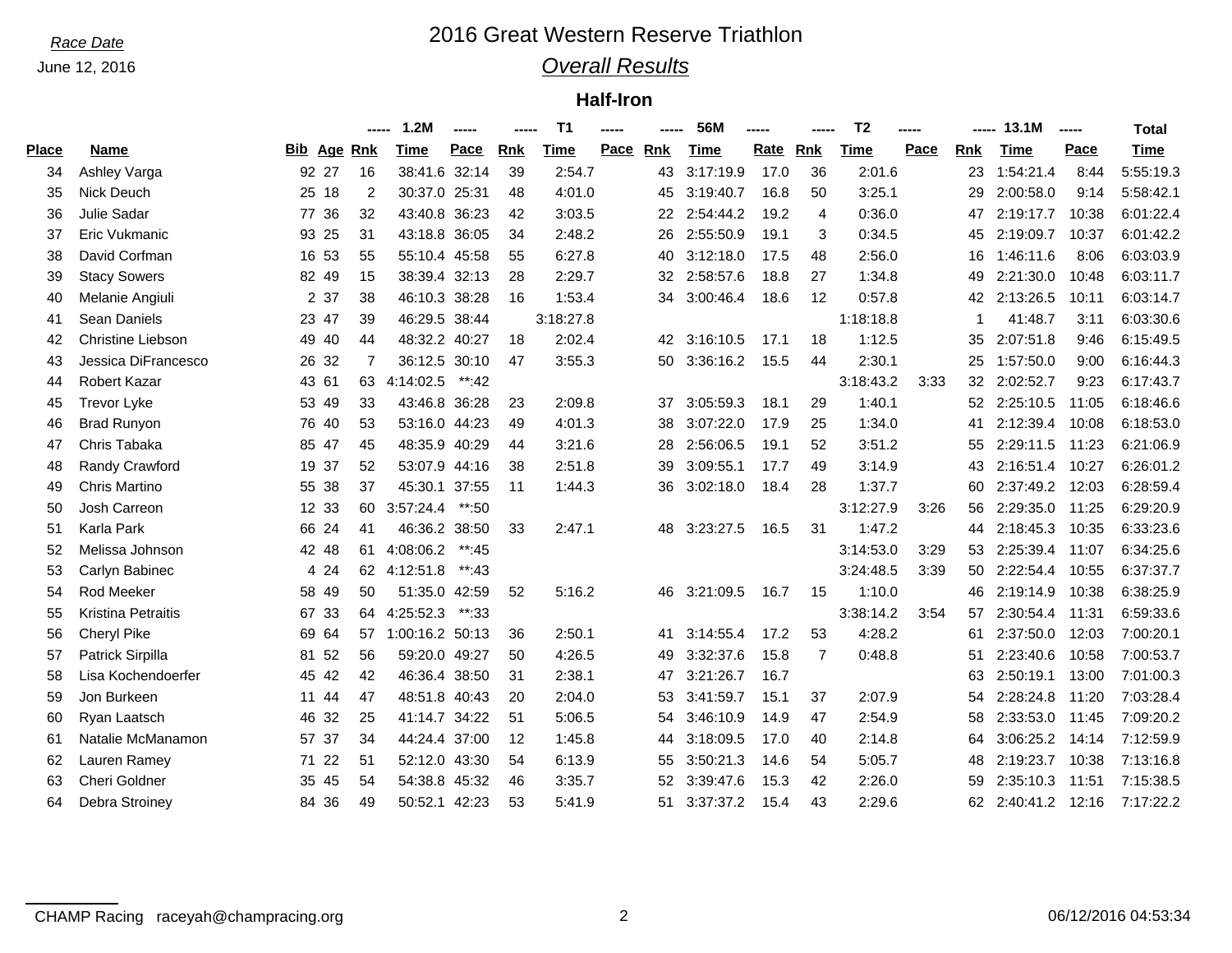# *Race Date* 2016 Great Western Reserve Triathlon

## *Overall Results*

### **Half-Iron**

|              |                           |    |                    |                | 1.2M            | -----    |            | T <sub>1</sub> | -----    |    | 56M       | ----- |                | T <sub>2</sub> | ----- |            | 13.1M           | $\begin{array}{ccc} \multicolumn{3}{c}{} & \multicolumn{3}{c}{} & \multicolumn{3}{c}{} & \multicolumn{3}{c}{} & \multicolumn{3}{c}{} & \multicolumn{3}{c}{} & \multicolumn{3}{c}{} & \multicolumn{3}{c}{} & \multicolumn{3}{c}{} & \multicolumn{3}{c}{} & \multicolumn{3}{c}{} & \multicolumn{3}{c}{} & \multicolumn{3}{c}{} & \multicolumn{3}{c}{} & \multicolumn{3}{c}{} & \multicolumn{3}{c}{} & \multicolumn{3}{c}{} & \multicolumn{3}{c}{} & \multicolumn{3}{c}{} & \multicolumn$ | <b>Total</b> |
|--------------|---------------------------|----|--------------------|----------------|-----------------|----------|------------|----------------|----------|----|-----------|-------|----------------|----------------|-------|------------|-----------------|----------------------------------------------------------------------------------------------------------------------------------------------------------------------------------------------------------------------------------------------------------------------------------------------------------------------------------------------------------------------------------------------------------------------------------------------------------------------------------------|--------------|
| <b>Place</b> | <b>Name</b>               |    | <b>Bib Age Rnk</b> |                | Time            | Pace     | <b>Rnk</b> | Time           | Pace Rnk |    | Time      | Rate  | <b>Rnk</b>     | <b>Time</b>    | Pace  | <b>Rnk</b> | Time            | Pace                                                                                                                                                                                                                                                                                                                                                                                                                                                                                   | Time         |
| 34           | Ashley Varga              |    | 92 27              | 16             | 38:41.6         | 32:14    | 39         | 2:54.7         |          | 43 | 3:17:19.9 | 17.0  | 36             | 2:01.6         |       | 23         | 1:54:21.4       | 8:44                                                                                                                                                                                                                                                                                                                                                                                                                                                                                   | 5:55:19.3    |
| 35           | <b>Nick Deuch</b>         |    | 25 18              | $\overline{2}$ | 30:37.0 25:31   |          | 48         | 4:01.0         |          | 45 | 3:19:40.7 | 16.8  | 50             | 3:25.1         |       | 29         | 2:00:58.0       | 9:14                                                                                                                                                                                                                                                                                                                                                                                                                                                                                   | 5:58:42.1    |
| 36           | Julie Sadar               |    | 77 36              | 32             | 43:40.8 36:23   |          | 42         | 3:03.5         |          | 22 | 2:54:44.2 | 19.2  | 4              | 0:36.0         |       | 47         | 2:19:17.7       | 10:38                                                                                                                                                                                                                                                                                                                                                                                                                                                                                  | 6:01:22.4    |
| 37           | Eric Vukmanic             |    | 93 25              | 31             | 43:18.8 36:05   |          | 34         | 2:48.2         |          | 26 | 2:55:50.9 | 19.1  | 3              | 0:34.5         |       | 45         | 2:19:09.7       | 10:37                                                                                                                                                                                                                                                                                                                                                                                                                                                                                  | 6:01:42.2    |
| 38           | David Corfman             |    | 16 53              | 55             | 55:10.4 45:58   |          | 55         | 6:27.8         |          | 40 | 3:12:18.0 | 17.5  | 48             | 2:56.0         |       | 16         | 1:46:11.6       | 8:06                                                                                                                                                                                                                                                                                                                                                                                                                                                                                   | 6:03:03.9    |
| 39           | <b>Stacy Sowers</b>       |    | 82 49              | 15             | 38:39.4 32:13   |          | 28         | 2:29.7         |          | 32 | 2:58:57.6 | 18.8  | 27             | 1:34.8         |       | 49         | 2:21:30.0       | 10:48                                                                                                                                                                                                                                                                                                                                                                                                                                                                                  | 6:03:11.7    |
| 40           | Melanie Angiuli           |    | 2 37               | 38             | 46:10.3 38:28   |          | 16         | 1:53.4         |          | 34 | 3:00:46.4 | 18.6  | 12             | 0:57.8         |       | 42         | 2:13:26.5       | 10:11                                                                                                                                                                                                                                                                                                                                                                                                                                                                                  | 6:03:14.7    |
| 41           | <b>Sean Daniels</b>       |    | 23 47              | 39             | 46:29.5 38:44   |          |            | 3:18:27.8      |          |    |           |       |                | 1:18:18.8      |       |            | 41:48.7         | 3:11                                                                                                                                                                                                                                                                                                                                                                                                                                                                                   | 6:03:30.6    |
| 42           | <b>Christine Liebson</b>  |    | 49 40              | 44             | 48:32.2 40:27   |          | 18         | 2:02.4         |          | 42 | 3:16:10.5 | 17.1  | 18             | 1:12.5         |       | 35         | 2:07:51.8       | 9:46                                                                                                                                                                                                                                                                                                                                                                                                                                                                                   | 6:15:49.5    |
| 43           | Jessica DiFrancesco       |    | 26 32              | 7              | 36:12.5 30:10   |          | 47         | 3:55.3         |          | 50 | 3:36:16.2 | 15.5  | 44             | 2:30.1         |       | 25         | 1:57:50.0       | 9:00                                                                                                                                                                                                                                                                                                                                                                                                                                                                                   | 6:16:44.3    |
| 44           | Robert Kazar              |    | 43 61              | 63             | 4:14:02.5       | $**:42$  |            |                |          |    |           |       |                | 3:18:43.2      | 3:33  | 32         | 2:02:52.7       | 9:23                                                                                                                                                                                                                                                                                                                                                                                                                                                                                   | 6:17:43.7    |
| 45           | <b>Trevor Lyke</b>        |    | 53 49              | 33             | 43:46.8 36:28   |          | 23         | 2:09.8         |          | 37 | 3:05:59.3 | 18.1  | 29             | 1:40.1         |       | 52         | 2:25:10.5       | 11:05                                                                                                                                                                                                                                                                                                                                                                                                                                                                                  | 6:18:46.6    |
| 46           | <b>Brad Runyon</b>        |    | 76 40              | 53             | 53:16.0 44:23   |          | 49         | 4:01.3         |          | 38 | 3:07:22.0 | 17.9  | 25             | 1:34.0         |       | 41         | 2:12:39.4       | 10:08                                                                                                                                                                                                                                                                                                                                                                                                                                                                                  | 6:18:53.0    |
| 47           | Chris Tabaka              |    | 85 47              | 45             | 48:35.9 40:29   |          | 44         | 3:21.6         |          | 28 | 2:56:06.5 | 19.1  | 52             | 3:51.2         |       | 55         | 2:29:11.5       | 11:23                                                                                                                                                                                                                                                                                                                                                                                                                                                                                  | 6:21:06.9    |
| 48           | Randy Crawford            |    | 19 37              | 52             | 53:07.9 44:16   |          | 38         | 2:51.8         |          | 39 | 3:09:55.1 | 17.7  | 49             | 3:14.9         |       | 43         | 2:16:51.4 10:27 |                                                                                                                                                                                                                                                                                                                                                                                                                                                                                        | 6:26:01.2    |
| 49           | <b>Chris Martino</b>      |    | 55 38              | 37             | 45:30.1 37:55   |          | 11         | 1:44.3         |          | 36 | 3:02:18.0 | 18.4  | 28             | 1:37.7         |       | 60         | 2:37:49.2 12:03 |                                                                                                                                                                                                                                                                                                                                                                                                                                                                                        | 6:28:59.4    |
| 50           | Josh Carreon              |    | 12 33              | 60             | 3:57:24.4       | $**:50$  |            |                |          |    |           |       |                | 3:12:27.9      | 3:26  | 56         | 2:29:35.0       | 11:25                                                                                                                                                                                                                                                                                                                                                                                                                                                                                  | 6:29:20.9    |
| 51           | Karla Park                |    | 66 24              | 41             | 46:36.2 38:50   |          | 33         | 2:47.1         |          | 48 | 3:23:27.5 | 16.5  | 31             | 1:47.2         |       | 44         | 2:18:45.3       | 10:35                                                                                                                                                                                                                                                                                                                                                                                                                                                                                  | 6:33:23.6    |
| 52           | Melissa Johnson           |    | 42 48              | 61             | 4:08:06.2       | $**:45$  |            |                |          |    |           |       |                | 3:14:53.0      | 3:29  | 53         | 2:25:39.4 11:07 |                                                                                                                                                                                                                                                                                                                                                                                                                                                                                        | 6:34:25.6    |
| 53           | Carlyn Babinec            | 4  | 24                 | 62             | 4:12:51.8       | **:43    |            |                |          |    |           |       |                | 3:24:48.5      | 3:39  | 50         | 2:22:54.4       | 10:55                                                                                                                                                                                                                                                                                                                                                                                                                                                                                  | 6:37:37.7    |
| 54           | <b>Rod Meeker</b>         |    | 58 49              | 50             | 51:35.0         | 42:59    | 52         | 5:16.2         |          | 46 | 3:21:09.5 | 16.7  | 15             | 1:10.0         |       | 46         | 2:19:14.9       | 10:38                                                                                                                                                                                                                                                                                                                                                                                                                                                                                  | 6:38:25.9    |
| 55           | <b>Kristina Petraitis</b> |    | 67 33              | 64             | 4:25:52.3       | $***:33$ |            |                |          |    |           |       |                | 3:38:14.2      | 3:54  | 57         | 2:30:54.4       | 11:31                                                                                                                                                                                                                                                                                                                                                                                                                                                                                  | 6:59:33.6    |
| 56           | Cheryl Pike               |    | 69 64              | 57             | 1:00:16.2 50:13 |          | 36         | 2:50.1         |          | 41 | 3:14:55.4 | 17.2  | 53             | 4:28.2         |       | 61         | 2:37:50.0       | 12:03                                                                                                                                                                                                                                                                                                                                                                                                                                                                                  | 7:00:20.1    |
| 57           | Patrick Sirpilla          |    | 81 52              | 56             | 59:20.0 49:27   |          | 50         | 4:26.5         |          | 49 | 3:32:37.6 | 15.8  | $\overline{7}$ | 0:48.8         |       | 51         | 2:23:40.6       | 10:58                                                                                                                                                                                                                                                                                                                                                                                                                                                                                  | 7:00:53.7    |
| 58           | Lisa Kochendoerfer        | 45 | 42                 | 42             | 46:36.4 38:50   |          | -31        | 2:38.1         |          | 47 | 3:21:26.7 | 16.7  |                |                |       | 63         | 2:50:19.1       | 13:00                                                                                                                                                                                                                                                                                                                                                                                                                                                                                  | 7:01:00.3    |
| 59           | Jon Burkeen               | 11 | 44                 | 47             | 48:51.8 40:43   |          | 20         | 2:04.0         |          | 53 | 3:41:59.7 | 15.1  | 37             | 2:07.9         |       | 54         | 2:28:24.8       | 11:20                                                                                                                                                                                                                                                                                                                                                                                                                                                                                  | 7:03:28.4    |
| 60           | Ryan Laatsch              |    | 46 32              | 25             | 41:14.7 34:22   |          | 51         | 5:06.5         |          | 54 | 3:46:10.9 | 14.9  | 47             | 2:54.9         |       | 58         | 2:33:53.0       | 11:45                                                                                                                                                                                                                                                                                                                                                                                                                                                                                  | 7:09:20.2    |
| 61           | Natalie McManamon         |    | 57 37              | 34             | 44:24.4 37:00   |          | 12         | 1:45.8         |          | 44 | 3:18:09.5 | 17.0  | 40             | 2:14.8         |       | 64         | 3:06:25.2       | 14:14                                                                                                                                                                                                                                                                                                                                                                                                                                                                                  | 7:12:59.9    |
| 62           | Lauren Ramey              | 71 | 22                 | 51             | 52:12.0 43:30   |          | 54         | 6:13.9         |          | 55 | 3:50:21.3 | 14.6  | 54             | 5:05.7         |       | 48         | 2:19:23.7       | 10:38                                                                                                                                                                                                                                                                                                                                                                                                                                                                                  | 7:13:16.8    |
| 63           | Cheri Goldner             |    | 35 45              | 54             | 54:38.8 45:32   |          | 46         | 3:35.7         |          | 52 | 3:39:47.6 | 15.3  | 42             | 2:26.0         |       | 59         | 2:35:10.3       | 11:51                                                                                                                                                                                                                                                                                                                                                                                                                                                                                  | 7:15:38.5    |
| 64           | Debra Stroiney            |    | 84 36              | 49             | 50:52.1 42:23   |          | 53         | 5:41.9         |          | 51 | 3:37:37.2 | 15.4  | 43             | 2:29.6         |       | 62         | 2:40:41.2 12:16 |                                                                                                                                                                                                                                                                                                                                                                                                                                                                                        | 7:17:22.2    |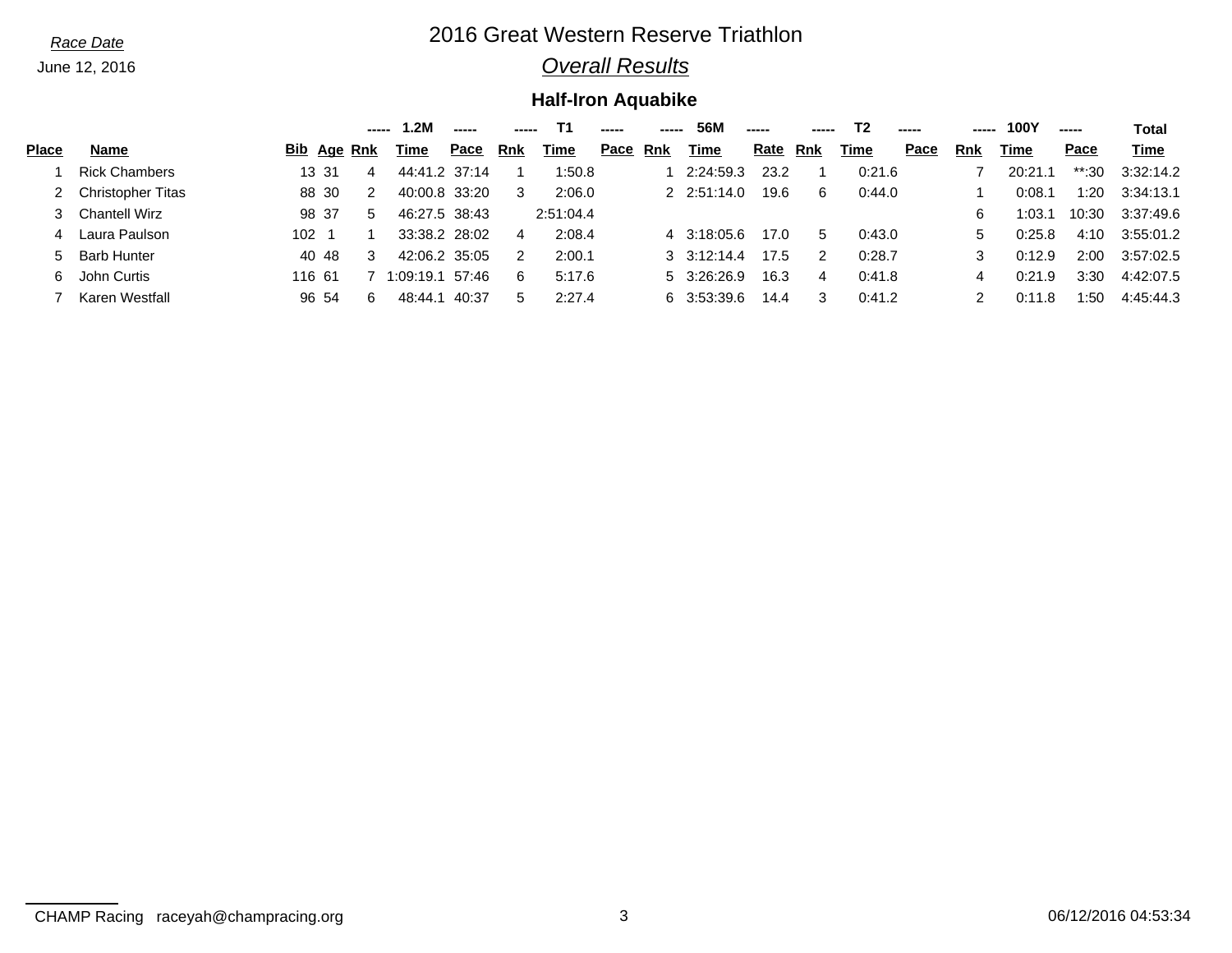# *Race Date* 2016 Great Western Reserve Triathlon

## *Overall Results*

## **Half-Iron Aquabike**

|              |                          |                    |    | 2M            |       |     |           |      |     | 56M                 | ----- |     | T <sub>2</sub> | ----- | --- | 100Y    | ----- | <b>Total</b> |
|--------------|--------------------------|--------------------|----|---------------|-------|-----|-----------|------|-----|---------------------|-------|-----|----------------|-------|-----|---------|-------|--------------|
| <b>Place</b> | Name                     | <b>Bib</b> Age Rnk |    | Time          | Pace  | Rnk | Time      | Pace | Rnk | Time                | Rate  | Rnk | Time           | Pace  | Rnk | Time    | Pace  | Time         |
|              | <b>Rick Chambers</b>     | 13 31              | 4  | 44:41.2 37:14 |       |     | 1:50.8    |      |     | 2:24:59.3           | 23.2  |     | 0:21.6         |       |     | 20:21.1 | **:30 | 3:32:14.2    |
|              | <b>Christopher Titas</b> | 88 30              | -2 | 40:00.8 33:20 |       | 3   | 2:06.0    |      |     | $2 \quad 2:51:14.0$ | 19.6  | 6   | 0:44.0         |       |     | 0:08.1  | 1:20  | 3:34:13.1    |
|              | <b>Chantell Wirz</b>     | 98 37              | 5  | 46:27.5 38:43 |       |     | 2:51:04.4 |      |     |                     |       |     |                |       | 6   | 1:03.1  | 10:30 | 3:37:49.6    |
| 4            | Laura Paulson            | 102                |    | 33:38.2 28:02 |       | 4   | 2:08.4    |      |     | 4 3:18:05.6         | 17.0  | 5   | 0:43.0         |       | 5   | 0:25.8  | 4:10  | 3:55:01.2    |
| 5.           | <b>Barb Hunter</b>       | 40 48              | 3  | 42:06.2 35:05 |       | 2   | 2:00.1    |      |     | $3 \quad 3:12:14.4$ | 17.5  | 2   | 0:28.7         |       |     | 0:12.9  | 2:00  | 3:57:02.5    |
| 6            | John Curtis              | 116 61             |    | 1:09:19.1     | 57:46 | 6   | 5:17.6    |      |     | 5 3:26:26.9         | 16.3  | 4   | 0:41.8         |       |     | 0:21.9  | 3:30  | 4:42:07.5    |
|              | Karen Westfall           | 96 54              | 6  | 48:44.1       | 40:37 | 5   | 2:27.4    |      |     | 6 3:53:39.6         | 14.4  | 3   | 0:41.2         |       |     | 0:11.8  | 1:50  | 4:45:44.3    |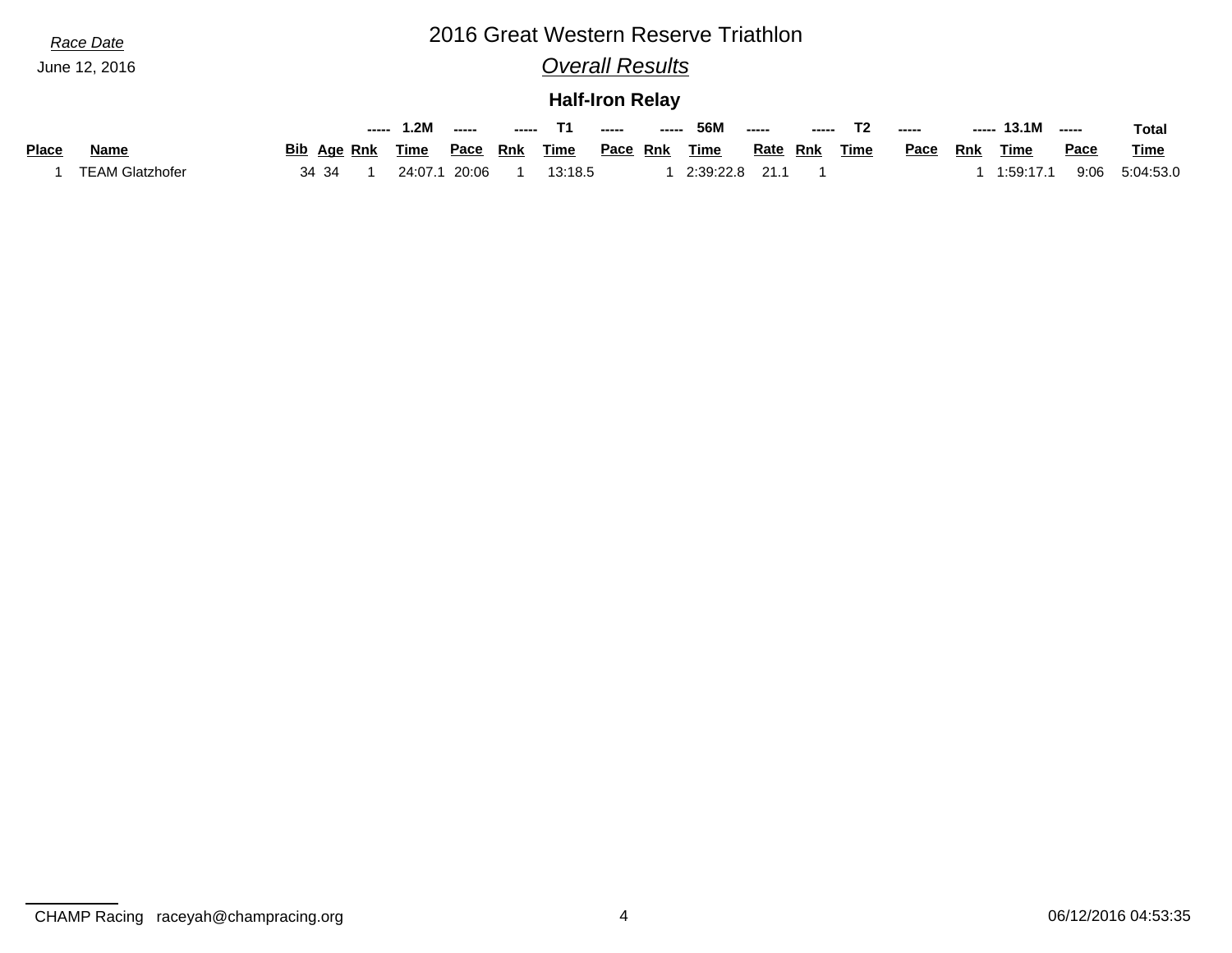# *Race Date* 2016 Great Western Reserve Triathlon

*Overall Results*

### **Half-Iron Relay**

|              |                        |                    | ----- | . .2M   | -----       | ----- |         | $- - - - -$     | ----- | 56M       |                 | ----- |      | -----       | ----- | 13.1M     | -----       | <b>Total</b> |
|--------------|------------------------|--------------------|-------|---------|-------------|-------|---------|-----------------|-------|-----------|-----------------|-------|------|-------------|-------|-----------|-------------|--------------|
| <b>Place</b> | Name                   | <b>Bib</b> Age Rnk |       | Time    | <u>Pace</u> | Rnk   | Time    | <u>Pace</u> Rnk |       | Time      | <u>Rate</u> Rnk |       | Time | <u>Pace</u> | Rnk   | Time      | <b>Pace</b> | <b>Time</b>  |
|              | <b>TEAM Glatzhofer</b> | 34 34              |       | 24:07.1 | 20:06       |       | 13:18.5 |                 |       | 2:39:22.8 | 211             |       |      |             |       | 1:59:17.1 | 9:06        | 5:04:53.0    |

CHAMP Racing raceyah@champracing.org 4 06/12/2016 04:53:35